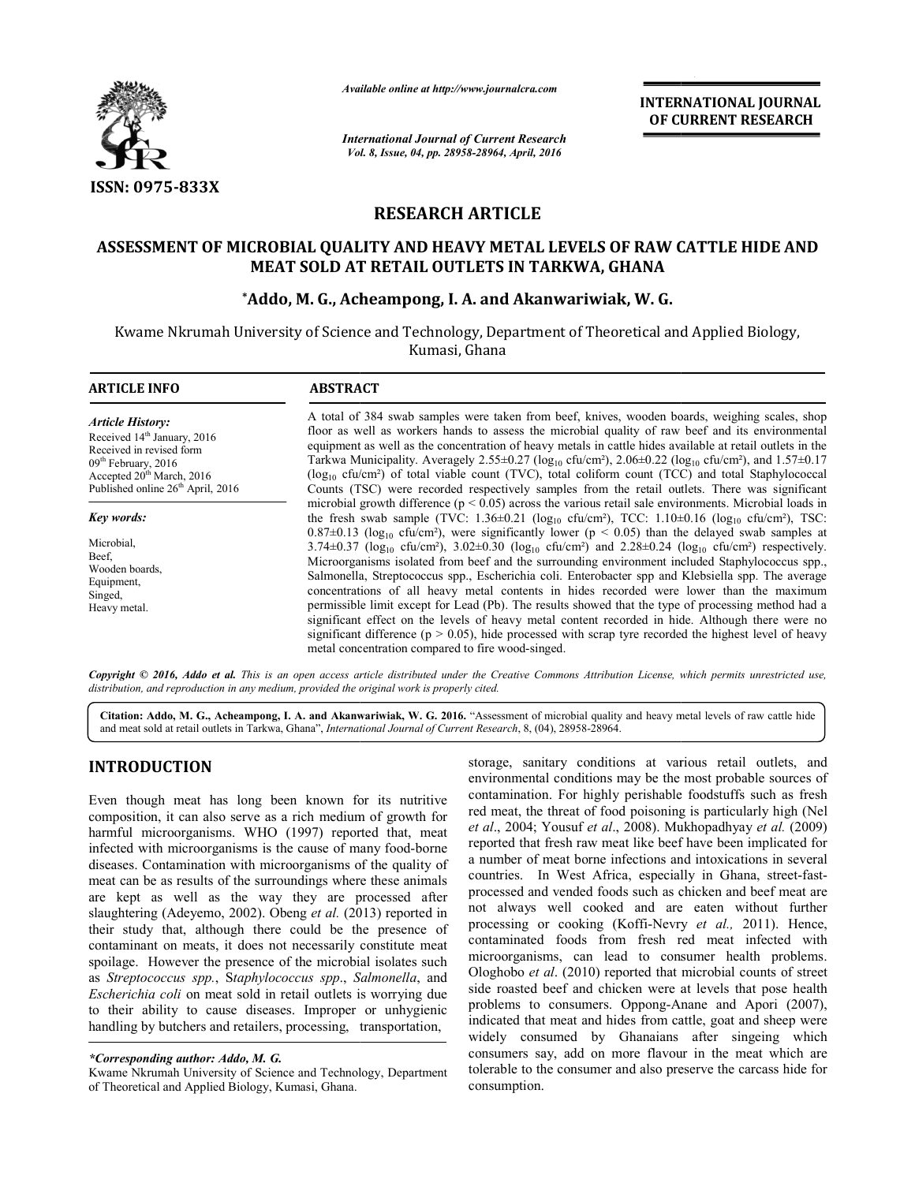

*Available online at http://www.journal http://www.journalcra.com*

*International Journal of Current Research Vol. 8, Issue, 04, pp. 28958-28964, April, 2016*

**INTERNATIONAL JOURNAL OF CURRENT RESEARCH** 

# **RESEARCH ARTICLE**

# ASSESSMENT OF MICROBIAL QUALITY AND HEAVY METAL LEVELS OF RAW CATTLE HIDE AND<br>MEAT SOLD AT RETAIL OUTLETS IN TARKWA, GHANA<br>Addo, M. G., Acheampong, I. A. and Akanwariwiak, W. G.\* **MEAT SOLD AT RETAIL OUTLETS IN TARKWA, GHANA**

# **\*Addo, M. G., Acheampong, I. A. and Akanwariwiak, W. G.**

Kwame Nkrumah University of Science and Technology, Department of Theoretical and Applied Biology,<br>Kumasi, Ghana

| <b>ARTICLE INFO</b>                                                                                                                                     | <b>ABSTRACT</b>                                                                                                                                                                                                                                                                                                                                                                                                                                                                                                                                                                                                                                                                                                                                                                                                                                                                                                                                                                                                                                                                                                                                                                                                                                           |  |  |
|---------------------------------------------------------------------------------------------------------------------------------------------------------|-----------------------------------------------------------------------------------------------------------------------------------------------------------------------------------------------------------------------------------------------------------------------------------------------------------------------------------------------------------------------------------------------------------------------------------------------------------------------------------------------------------------------------------------------------------------------------------------------------------------------------------------------------------------------------------------------------------------------------------------------------------------------------------------------------------------------------------------------------------------------------------------------------------------------------------------------------------------------------------------------------------------------------------------------------------------------------------------------------------------------------------------------------------------------------------------------------------------------------------------------------------|--|--|
| <b>Article History:</b><br>Received 14 <sup>th</sup> January, 2016<br>Received in revised form<br>$09th$ February, 2016<br>Accepted $20th March$ , 2016 | A total of 384 swab samples were taken from beef, knives, wooden boards, weighing scales, shop<br>floor as well as workers hands to assess the microbial quality of raw beef and its environmental<br>equipment as well as the concentration of heavy metals in cattle hides available at retail outlets in the<br>Tarkwa Municipality. Averagely 2.55±0.27 ( $log_{10}$ cfu/cm <sup>2</sup> ), 2.06±0.22 ( $log_{10}$ cfu/cm <sup>2</sup> ), and 1.57±0.17<br>$(\log_{10} c f u/cm^2)$ of total viable count (TVC), total coliform count (TCC) and total Staphylococcal<br>Counts (TSC) were recorded respectively samples from the retail outlets. There was significant                                                                                                                                                                                                                                                                                                                                                                                                                                                                                                                                                                                |  |  |
| Published online 26 <sup>th</sup> April, 2016<br>Key words:<br>Microbial.<br>Beef.<br>Wooden boards.<br>Equipment,<br>Singed,<br>Heavy metal.           | microbial growth difference ( $p < 0.05$ ) across the various retail sale environments. Microbial loads in<br>the fresh swab sample (TVC: $1.36 \pm 0.21$ (log <sub>10</sub> cfu/cm <sup>2</sup> ), TCC: $1.10 \pm 0.16$ (log <sub>10</sub> cfu/cm <sup>2</sup> ), TSC:<br>$0.87\pm0.13$ (log <sub>10</sub> cfu/cm <sup>2</sup> ), were significantly lower (p < 0.05) than the delayed swab samples at<br>3.74±0.37 ( $\log_{10}$ cfu/cm <sup>2</sup> ), 3.02±0.30 ( $\log_{10}$ cfu/cm <sup>2</sup> ) and 2.28±0.24 ( $\log_{10}$ cfu/cm <sup>2</sup> ) respectively.<br>Microorganisms isolated from beef and the surrounding environment included Staphylococcus spp.,<br>Salmonella, Streptococcus spp., Escherichia coli. Enterobacter spp and Klebsiella spp. The average<br>concentrations of all heavy metal contents in hides recorded were lower than the maximum<br>permissible limit except for Lead (Pb). The results showed that the type of processing method had a<br>significant effect on the levels of heavy metal content recorded in hide. Although there were no<br>significant difference ( $p > 0.05$ ), hide processed with scrap tyre recorded the highest level of heavy<br>metal concentration compared to fire wood-singed. |  |  |

*Copyright © 2016, Addo et al. This is an open access article distributed under the Creative Commons Attribution License, which ribution permits unrestricted use, distribution, and reproduction in any medium, provided the original work is properly cited.*

Citation: Addo, M. G., Acheampong, I. A. and Akanwariwiak, W. G. 2016. "Assessment of microbial quality and heavy metal levels of raw cattle hide and meat sold at retail outlets in Tarkwa, Ghana", *International Journal of Current Research* , 8, (04), 28958-28964.

# **INTRODUCTION**

Even though meat has long been known for its nutritive composition, it can also serve as a rich medium of growth for harmful microorganisms. WHO (1997) reported that, meat composition, it can also serve as a rich medium of growth for harmful microorganisms. WHO (1997) reported that, meat infected with microorganisms is the cause of many food-borne diseases. Contamination with microorganisms of the quality of meat can be as results of the surroundings where these animals are kept as well as the way they are processed after slaughtering (Adeyemo, 2002). Obeng *et al.* (2013) reported in their study that, although there could be the presence of contaminant on meats, it does not necessarily constitute meat spoilage. However the presence of the microbial isolates such as *Streptococcus spp.*, S*taphylococcus spp*., *Salmonella Escherichia coli* on meat sold in retail outlets is worrying due to their ability to cause diseases. Improper or unhygienic handling by butchers and retailers, processing, transportation, ses. Contamination with microorganisms of the quality of can be as results of the surroundings where these animals kept as well as the way they are processed after thering (Adeyemo, 2002). Obeng *et al.* (2013) reported i

Kwame Nkrumah University of Science and Technology, Department of Theoretical and Applied Biology, Kumasi, Ghana.

storage, sanitary conditions at various retail outlets, and environmental conditions may be the most probable sources of environmental conditions may be the most probable sources of contamination. For highly perishable foodstuffs such as fresh red meat, the threat of food poisoning is particularly high (Nel red meat, the threat of food poisoning is particularly high (Nel *et al.*, 2004; Yousuf *et al.*, 2008). Mukhopadhyay *et al.* (2009) reported that fresh raw meat like beef have been implicated for reported that fresh raw meat like beef have been implicated for<br>a number of meat borne infections and intoxications in several countries. In West Africa, especially in Ghana, street-fastprocessed and vended foods such as chicken and beef meat are not always well cooked and are eaten without further processed and vended foods such as chicken and beef meat are<br>not always well cooked and are eaten without further<br>processing or cooking (Koffi-Nevry *et al.,* 2011). Hence, contaminated foods from fresh red meat infected with microorganisms, can lead to consumer health problems. Ologhobo *et al*. (2010) reported that microbial counts of street side roasted beef and chicken were at levels that pose health problems to consumers. Oppong-Anane and Apori (2007), indicated that meat and hides from cattle, goat and sheep were widely consumed by Ghanaians after singeing which consumers say, add on more flavour in the meat which are tolerable to the consumer and also preserve the carcass hide fo consumption. minated foods from fresh red meat infected with<br>oorganisms, can lead to consumer health problems.<br>hobo *et al.* (2010) reported that microbial counts of street<br>roasted beef and chicken were at levels that pose health<br>lems

*<sup>\*</sup>Corresponding author: Addo, M. G.*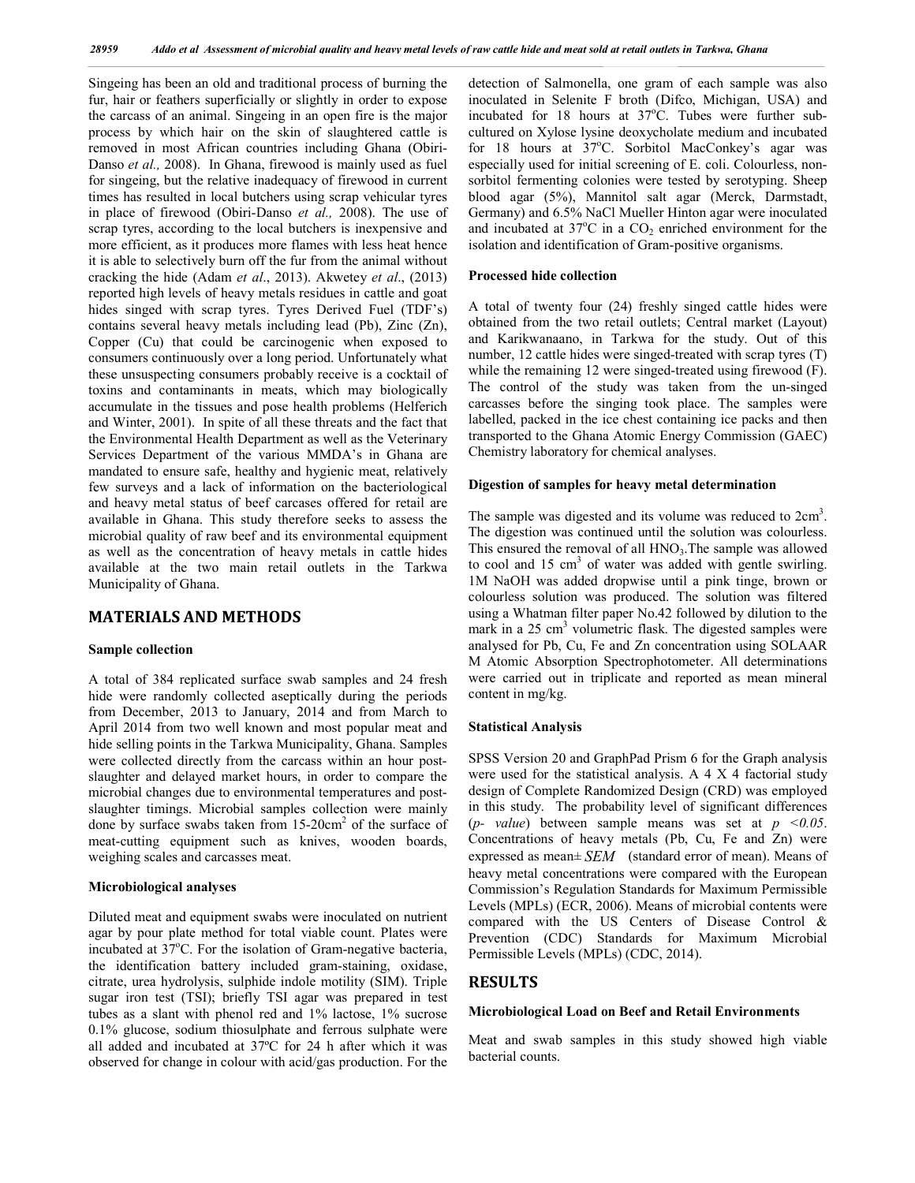Singeing has been an old and traditional process of burning the fur, hair or feathers superficially or slightly in order to expose the carcass of an animal. Singeing in an open fire is the major process by which hair on the skin of slaughtered cattle is removed in most African countries including Ghana (Obiri-Danso *et al.,* 2008). In Ghana, firewood is mainly used as fuel for singeing, but the relative inadequacy of firewood in current times has resulted in local butchers using scrap vehicular tyres in place of firewood (Obiri-Danso *et al.,* 2008). The use of scrap tyres, according to the local butchers is inexpensive and more efficient, as it produces more flames with less heat hence it is able to selectively burn off the fur from the animal without cracking the hide (Adam *et al*., 2013). Akwetey *et al*., (2013) reported high levels of heavy metals residues in cattle and goat hides singed with scrap tyres. Tyres Derived Fuel (TDF's) contains several heavy metals including lead (Pb), Zinc (Zn), Copper (Cu) that could be carcinogenic when exposed to consumers continuously over a long period. Unfortunately what these unsuspecting consumers probably receive is a cocktail of toxins and contaminants in meats, which may biologically accumulate in the tissues and pose health problems (Helferich and Winter, 2001). In spite of all these threats and the fact that the Environmental Health Department as well as the Veterinary Services Department of the various MMDA's in Ghana are mandated to ensure safe, healthy and hygienic meat, relatively few surveys and a lack of information on the bacteriological and heavy metal status of beef carcases offered for retail are available in Ghana. This study therefore seeks to assess the microbial quality of raw beef and its environmental equipment as well as the concentration of heavy metals in cattle hides available at the two main retail outlets in the Tarkwa Municipality of Ghana.

# **MATERIALS AND METHODS**

#### **Sample collection**

A total of 384 replicated surface swab samples and 24 fresh hide were randomly collected aseptically during the periods from December, 2013 to January, 2014 and from March to April 2014 from two well known and most popular meat and hide selling points in the Tarkwa Municipality, Ghana. Samples were collected directly from the carcass within an hour postslaughter and delayed market hours, in order to compare the microbial changes due to environmental temperatures and postslaughter timings. Microbial samples collection were mainly done by surface swabs taken from  $15{\text -}20 \text{cm}^2$  of the surface of meat-cutting equipment such as knives, wooden boards, weighing scales and carcasses meat.

# **Microbiological analyses**

Diluted meat and equipment swabs were inoculated on nutrient agar by pour plate method for total viable count. Plates were incubated at 37°C. For the isolation of Gram-negative bacteria, the identification battery included gram-staining, oxidase, citrate, urea hydrolysis, sulphide indole motility (SIM). Triple sugar iron test (TSI); briefly TSI agar was prepared in test tubes as a slant with phenol red and 1% lactose, 1% sucrose 0.1% glucose, sodium thiosulphate and ferrous sulphate were all added and incubated at 37ºC for 24 h after which it was observed for change in colour with acid/gas production. For the

detection of Salmonella, one gram of each sample was also inoculated in Selenite F broth (Difco, Michigan, USA) and incubated for  $18$  hours at  $37^{\circ}$ C. Tubes were further subcultured on Xylose lysine deoxycholate medium and incubated for 18 hours at 37°C. Sorbitol MacConkey's agar was especially used for initial screening of E. coli. Colourless, nonsorbitol fermenting colonies were tested by serotyping. Sheep blood agar (5%), Mannitol salt agar (Merck, Darmstadt, Germany) and 6.5% NaCl Mueller Hinton agar were inoculated and incubated at  $37^{\circ}$ C in a CO<sub>2</sub> enriched environment for the isolation and identification of Gram-positive organisms.

## **Processed hide collection**

A total of twenty four (24) freshly singed cattle hides were obtained from the two retail outlets; Central market (Layout) and Karikwanaano, in Tarkwa for the study. Out of this number, 12 cattle hides were singed-treated with scrap tyres (T) while the remaining 12 were singed-treated using firewood (F). The control of the study was taken from the un-singed carcasses before the singing took place. The samples were labelled, packed in the ice chest containing ice packs and then transported to the Ghana Atomic Energy Commission (GAEC) Chemistry laboratory for chemical analyses.

## **Digestion of samples for heavy metal determination**

The sample was digested and its volume was reduced to  $2 \text{cm}^3$ . The digestion was continued until the solution was colourless. This ensured the removal of all  $HNO<sub>3</sub>$ . The sample was allowed to cool and  $15 \text{ cm}^3$  of water was added with gentle swirling. 1M NaOH was added dropwise until a pink tinge, brown or colourless solution was produced. The solution was filtered using a Whatman filter paper No.42 followed by dilution to the mark in a  $25 \text{ cm}^3$  volumetric flask. The digested samples were analysed for Pb, Cu, Fe and Zn concentration using SOLAAR M Atomic Absorption Spectrophotometer. All determinations were carried out in triplicate and reported as mean mineral content in mg/kg.

#### **Statistical Analysis**

SPSS Version 20 and GraphPad Prism 6 for the Graph analysis were used for the statistical analysis. A 4 X 4 factorial study design of Complete Randomized Design (CRD) was employed in this study. The probability level of significant differences (*p- value*) between sample means was set at *p <0.05*. Concentrations of heavy metals (Pb, Cu, Fe and Zn) were expressed as mean± *SEM* (standard error of mean). Means of heavy metal concentrations were compared with the European Commission's Regulation Standards for Maximum Permissible Levels (MPLs) (ECR, 2006). Means of microbial contents were compared with the US Centers of Disease Control & Prevention (CDC) Standards for Maximum Microbial Permissible Levels (MPLs) (CDC, 2014).

# **RESULTS**

#### **Microbiological Load on Beef and Retail Environments**

Meat and swab samples in this study showed high viable bacterial counts.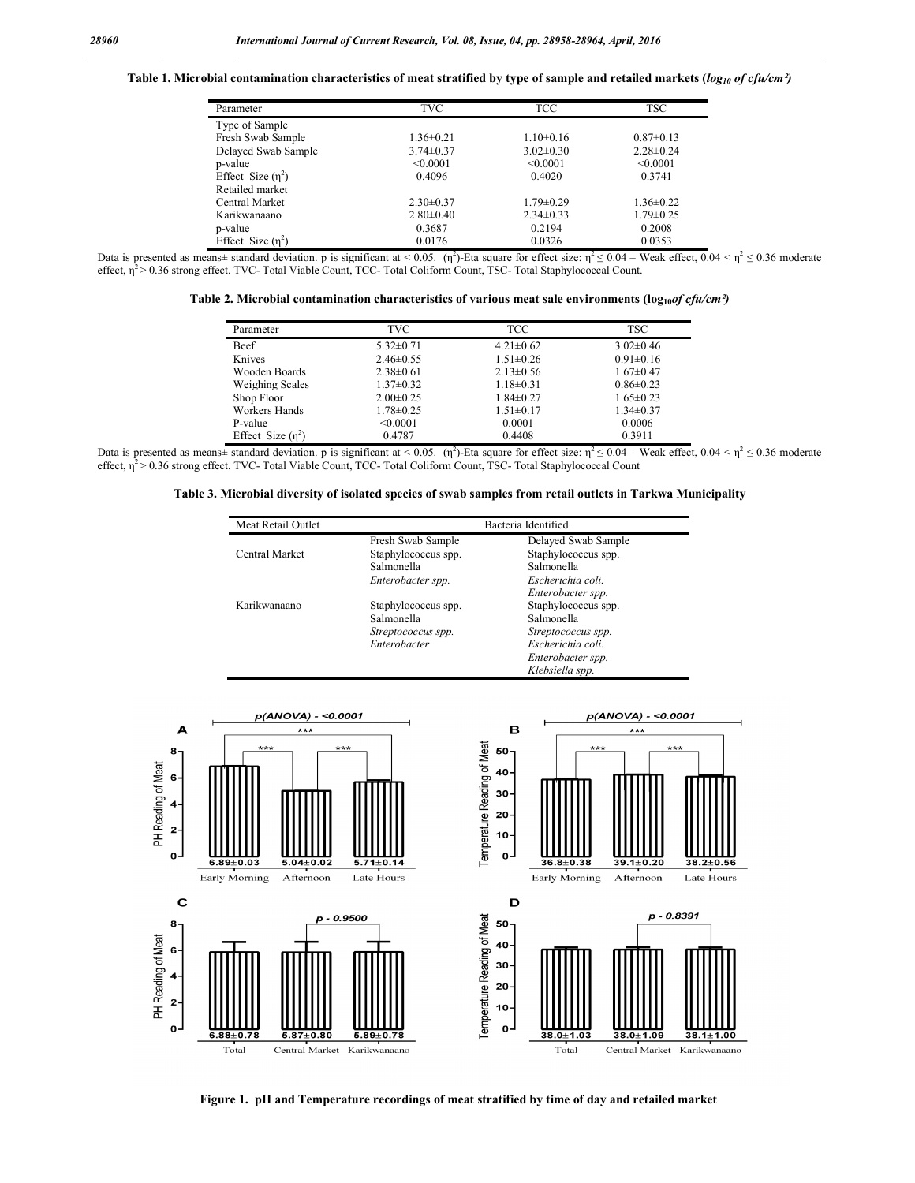Table 1. Microbial contamination characteristics of meat stratified by type of sample and retailed markets ( $log_{10}$  of cfu/cm<sup>2</sup>)

| Parameter           | TVC.            | TCC.            | <b>TSC</b>      |
|---------------------|-----------------|-----------------|-----------------|
| Type of Sample      |                 |                 |                 |
| Fresh Swab Sample   | $1.36 \pm 0.21$ | $1.10\pm0.16$   | $0.87 \pm 0.13$ |
| Delayed Swab Sample | $3.74 \pm 0.37$ | $3.02 \pm 0.30$ | $2.28 \pm 0.24$ |
| p-value             | < 0.0001        | < 0.0001        | < 0.0001        |
| Effect Size $(n^2)$ | 0.4096          | 0.4020          | 0.3741          |
| Retailed market     |                 |                 |                 |
| Central Market      | $2.30\pm0.37$   | $1.79 \pm 0.29$ | $1.36 \pm 0.22$ |
| Karikwanaano        | $2.80\pm0.40$   | $2.34\pm0.33$   | $1.79 \pm 0.25$ |
| p-value             | 0.3687          | 0.2194          | 0.2008          |
| Effect Size $(n^2)$ | 0.0176          | 0.0326          | 0.0353          |

Data is presented as means± standard deviation. p is significant at < 0.05. (η<sup>2</sup>)-Eta square for effect size:  $\eta^2 \le 0.04$  – Weak effect,  $0.04 < \eta^2 \le 0.36$  moderate effect,  $\eta^2$  > 0.36 strong effect. TVC- Total Viable Count, TCC- Total Coliform Count, TSC- Total Staphylococcal Count.

**Table 2. Microbial contamination characteristics of various meat sale environments (** $log_{10}of cfu/cm²$ **)** 

| Parameter              | TVC             | TCC             | TSC             |
|------------------------|-----------------|-----------------|-----------------|
| Beef                   | $5.32 \pm 0.71$ | $4.21 \pm 0.62$ | $3.02 \pm 0.46$ |
| Knives                 | $2.46 \pm 0.55$ | $1.51 \pm 0.26$ | $0.91 \pm 0.16$ |
| Wooden Boards          | $2.38 \pm 0.61$ | $2.13 \pm 0.56$ | $1.67 \pm 0.47$ |
| <b>Weighing Scales</b> | $1.37 \pm 0.32$ | $1.18 \pm 0.31$ | $0.86 \pm 0.23$ |
| Shop Floor             | $2.00\pm0.25$   | $1.84 \pm 0.27$ | $1.65 \pm 0.23$ |
| Workers Hands          | $1.78 \pm 0.25$ | $1.51 \pm 0.17$ | $1.34 \pm 0.37$ |
| P-value                | < 0.0001        | 0.0001          | 0.0006          |
| Effect Size $(n^2)$    | 0.4787          | 0.4408          | 0.3911          |

Data is presented as means± standard deviation. p is significant at < 0.05. (η<sup>2</sup>)-Eta square for effect size:  $\eta^2 \le 0.04$  – Weak effect,  $0.04 < \eta^2 \le 0.36$  moderate effect,  $\eta^2$  > 0.36 strong effect. TVC- Total Viable Count, TCC- Total Coliform Count, TSC- Total Staphylococcal Count

**Table 3. Microbial diversity of isolated species of swab samples from retail outlets in Tarkwa Municipality**

| Meat Retail Outlet | Bacteria Identified |                     |  |
|--------------------|---------------------|---------------------|--|
|                    | Fresh Swab Sample   | Delayed Swab Sample |  |
| Central Market     | Staphylococcus spp. | Staphylococcus spp. |  |
|                    | Salmonella          | Salmonella          |  |
|                    | Enterobacter spp.   | Escherichia coli.   |  |
|                    |                     | Enterobacter spp.   |  |
| Karikwanaano       | Staphylococcus spp. | Staphylococcus spp. |  |
|                    | Salmonella          | Salmonella          |  |
|                    | Streptococcus spp.  | Streptococcus spp.  |  |
|                    | Enterobacter        | Escherichia coli.   |  |
|                    |                     | Enterobacter spp.   |  |
|                    |                     | Klebsiella spp.     |  |



**Figure 1. pH and Temperature recordings of meat stratified by time of day and retailed market**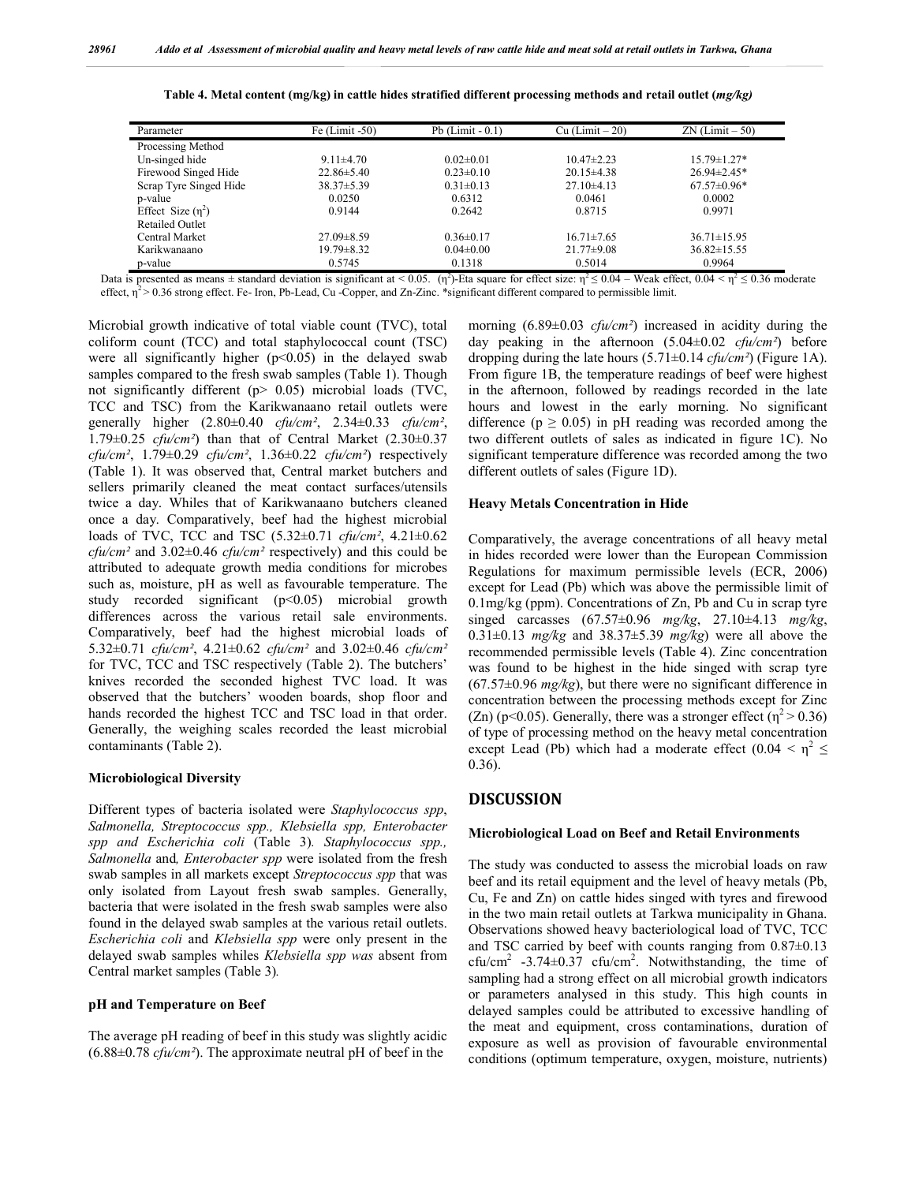| Parameter              | Fe $(Limit -50)$ | Pb $(Limit - 0.1)$ | $Cu$ (Limit $-20$ ) | $ZN$ (Limit $-50$ ) |
|------------------------|------------------|--------------------|---------------------|---------------------|
| Processing Method      |                  |                    |                     |                     |
| Un-singed hide         | $9.11 \pm 4.70$  | $0.02 \pm 0.01$    | $10.47 \pm 2.23$    | $15.79 \pm 1.27*$   |
| Firewood Singed Hide   | $22.86 \pm 5.40$ | $0.23 \pm 0.10$    | $20.15 \pm 4.38$    | $26.94 \pm 2.45*$   |
| Scrap Tyre Singed Hide | $38.37 \pm 5.39$ | $0.31 \pm 0.13$    | $27.10\pm4.13$      | $67.57 \pm 0.96*$   |
| p-value                | 0.0250           | 0.6312             | 0.0461              | 0.0002              |
| Effect Size $(n^2)$    | 0.9144           | 0.2642             | 0.8715              | 0.9971              |
| <b>Retailed Outlet</b> |                  |                    |                     |                     |
| Central Market         | $27.09 \pm 8.59$ | $0.36 \pm 0.17$    | $16.71 \pm 7.65$    | $36.71 \pm 15.95$   |
| Karikwanaano           | $19.79 \pm 8.32$ | $0.04 \pm 0.00$    | $21.77 \pm 9.08$    | $36.82 \pm 15.55$   |
| p-value                | 0.5745           | 0.1318             | 0.5014              | 0.9964              |

|  | Table 4. Metal content (mg/kg) in cattle hides stratified different processing methods and retail outlet (mg/kg) |  |
|--|------------------------------------------------------------------------------------------------------------------|--|
|  |                                                                                                                  |  |

Data is presented as means  $\pm$  standard deviation is significant at < 0.05. (η<sup>2</sup>)-Eta square for effect size:  $\eta^2 \le 0.04$  – Weak effect, 0.04 <  $\eta^2 \le 0.36$  moderate effect,  $\eta^2$  > 0.36 strong effect. Fe- Iron, Pb-Lead, Cu -Copper, and Zn-Zinc. \*significant different compared to permissible limit.

Microbial growth indicative of total viable count (TVC), total coliform count (TCC) and total staphylococcal count (TSC) were all significantly higher  $(p<0.05)$  in the delayed swab samples compared to the fresh swab samples (Table 1). Though not significantly different (p> 0.05) microbial loads (TVC, TCC and TSC) from the Karikwanaano retail outlets were generally higher (2.80±0.40 *cfu/cm²*, 2.34±0.33 *cfu/cm²*, 1.79±0.25 *cfu/cm²*) than that of Central Market (2.30±0.37 *cfu/cm²*, 1.79±0.29 *cfu/cm²*, 1.36±0.22 *cfu/cm²*) respectively (Table 1). It was observed that, Central market butchers and sellers primarily cleaned the meat contact surfaces/utensils twice a day. Whiles that of Karikwanaano butchers cleaned once a day. Comparatively, beef had the highest microbial loads of TVC, TCC and TSC (5.32±0.71 *cfu/cm²*, 4.21±0.62 *cfu/cm²* and 3.02±0.46 *cfu/cm²* respectively) and this could be attributed to adequate growth media conditions for microbes such as, moisture, pH as well as favourable temperature. The study recorded significant (p˂0.05) microbial growth differences across the various retail sale environments. Comparatively, beef had the highest microbial loads of 5.32±0.71 *cfu/cm²*, 4.21±0.62 *cfu/cm²* and 3.02±0.46 *cfu/cm²* for TVC, TCC and TSC respectively (Table 2). The butchers' knives recorded the seconded highest TVC load. It was observed that the butchers' wooden boards, shop floor and hands recorded the highest TCC and TSC load in that order. Generally, the weighing scales recorded the least microbial contaminants (Table 2).

#### **Microbiological Diversity**

Different types of bacteria isolated were *Staphylococcus spp*, *Salmonella, Streptococcus spp., Klebsiella spp, Enterobacter spp and Escherichia coli* (Table 3)*. Staphylococcus spp., Salmonella* and*, Enterobacter spp* were isolated from the fresh swab samples in all markets except *Streptococcus spp* that was only isolated from Layout fresh swab samples. Generally, bacteria that were isolated in the fresh swab samples were also found in the delayed swab samples at the various retail outlets. *Escherichia coli* and *Klebsiella spp* were only present in the delayed swab samples whiles *Klebsiella spp was* absent from Central market samples (Table 3)*.*

#### **pH and Temperature on Beef**

The average pH reading of beef in this study was slightly acidic  $(6.88\pm0.78 \text{ cftu/cm}^2)$ . The approximate neutral pH of beef in the

morning (6.89±0.03 *cfu/cm²*) increased in acidity during the day peaking in the afternoon (5.04±0.02 *cfu/cm²*) before dropping during the late hours (5.71±0.14 *cfu/cm²*) (Figure 1A). From figure 1B, the temperature readings of beef were highest in the afternoon, followed by readings recorded in the late hours and lowest in the early morning. No significant difference ( $p \ge 0.05$ ) in pH reading was recorded among the two different outlets of sales as indicated in figure 1C). No significant temperature difference was recorded among the two different outlets of sales (Figure 1D).

#### **Heavy Metals Concentration in Hide**

Comparatively, the average concentrations of all heavy metal in hides recorded were lower than the European Commission Regulations for maximum permissible levels (ECR, 2006) except for Lead (Pb) which was above the permissible limit of 0.1mg/kg (ppm). Concentrations of Zn, Pb and Cu in scrap tyre singed carcasses (67.57±0.96 *mg/kg*, 27.10±4.13 *mg/kg*, 0.31±0.13 *mg/kg* and 38.37±5.39 *mg/kg*) were all above the recommended permissible levels (Table 4). Zinc concentration was found to be highest in the hide singed with scrap tyre (67.57±0.96 *mg/kg*), but there were no significant difference in concentration between the processing methods except for Zinc (Zn) (p<0.05). Generally, there was a stronger effect ( $\eta^2$  > 0.36) of type of processing method on the heavy metal concentration except Lead (Pb) which had a moderate effect (0.04  $\leq \eta^2 \leq$ 0.36).

# **DISCUSSION**

#### **Microbiological Load on Beef and Retail Environments**

The study was conducted to assess the microbial loads on raw beef and its retail equipment and the level of heavy metals (Pb, Cu, Fe and Zn) on cattle hides singed with tyres and firewood in the two main retail outlets at Tarkwa municipality in Ghana. Observations showed heavy bacteriological load of TVC, TCC and TSC carried by beef with counts ranging from 0.87±0.13  $cfu/cm<sup>2</sup> -3.74 \pm 0.37 cfu/cm<sup>2</sup>$ . Notwithstanding, the time of sampling had a strong effect on all microbial growth indicators or parameters analysed in this study. This high counts in delayed samples could be attributed to excessive handling of the meat and equipment, cross contaminations, duration of exposure as well as provision of favourable environmental conditions (optimum temperature, oxygen, moisture, nutrients)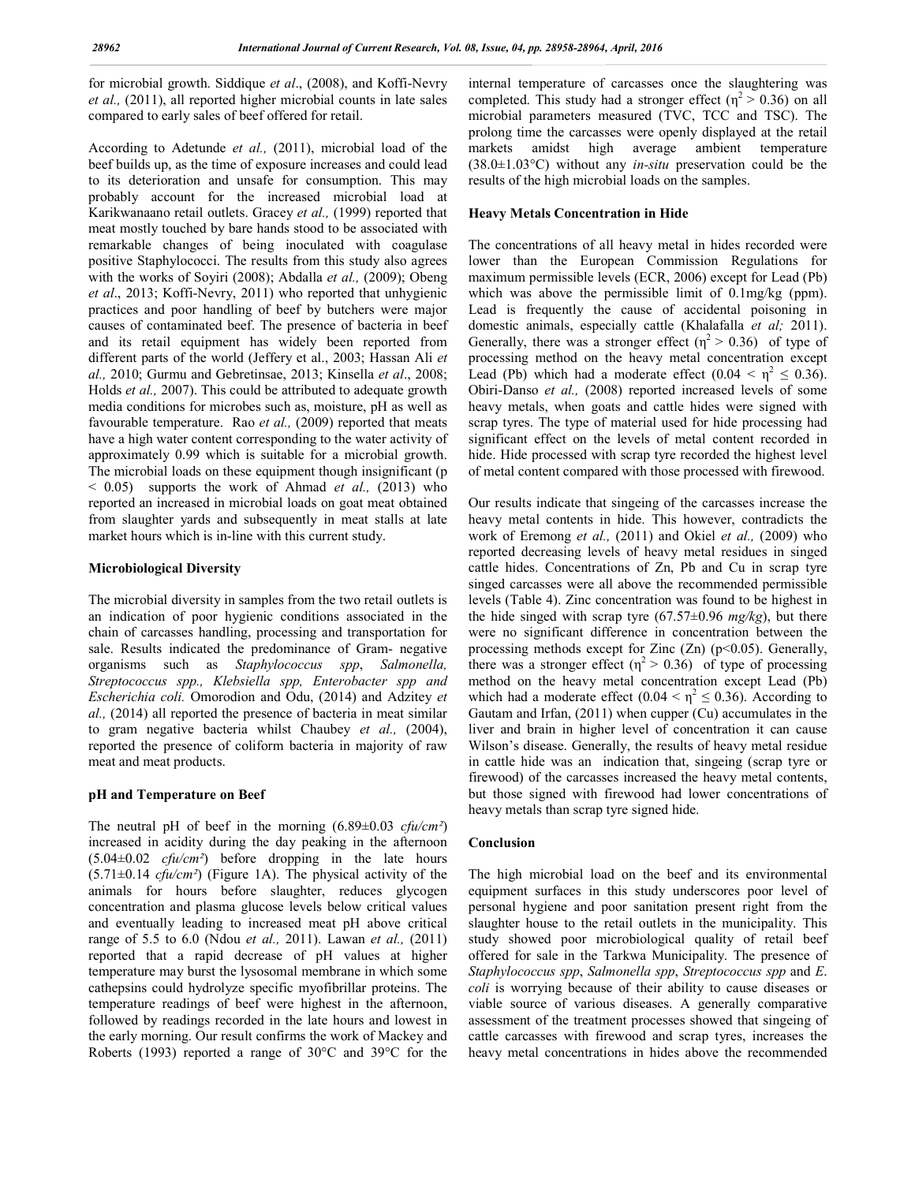for microbial growth. Siddique *et al*., (2008), and Koffi-Nevry *et al.,* (2011), all reported higher microbial counts in late sales compared to early sales of beef offered for retail.

According to Adetunde *et al.,* (2011), microbial load of the beef builds up, as the time of exposure increases and could lead to its deterioration and unsafe for consumption. This may probably account for the increased microbial load at Karikwanaano retail outlets. Gracey *et al.,* (1999) reported that meat mostly touched by bare hands stood to be associated with remarkable changes of being inoculated with coagulase positive Staphylococci. The results from this study also agrees with the works of Soyiri (2008); Abdalla *et al.,* (2009); Obeng *et al*., 2013; Koffi-Nevry, 2011) who reported that unhygienic practices and poor handling of beef by butchers were major causes of contaminated beef. The presence of bacteria in beef and its retail equipment has widely been reported from different parts of the world (Jeffery et al., 2003; Hassan Ali *et al.,* 2010; Gurmu and Gebretinsae, 2013; Kinsella *et al*., 2008; Holds *et al.,* 2007). This could be attributed to adequate growth media conditions for microbes such as, moisture, pH as well as favourable temperature. Rao *et al.*, (2009) reported that meats have a high water content corresponding to the water activity of approximately 0.99 which is suitable for a microbial growth. The microbial loads on these equipment though insignificant (p < 0.05) supports the work of Ahmad *et al.,* (2013) who reported an increased in microbial loads on goat meat obtained from slaughter yards and subsequently in meat stalls at late market hours which is in-line with this current study.

# **Microbiological Diversity**

The microbial diversity in samples from the two retail outlets is an indication of poor hygienic conditions associated in the chain of carcasses handling, processing and transportation for sale. Results indicated the predominance of Gram- negative organisms such as *Staphylococcus spp*, *Salmonella, Streptococcus spp., Klebsiella spp, Enterobacter spp and Escherichia coli.* Omorodion and Odu, (2014) and Adzitey *et al.,* (2014) all reported the presence of bacteria in meat similar to gram negative bacteria whilst Chaubey *et al.,* (2004), reported the presence of coliform bacteria in majority of raw meat and meat products.

## **pH and Temperature on Beef**

The neutral pH of beef in the morning (6.89±0.03 *cfu/cm²*) increased in acidity during the day peaking in the afternoon (5.04±0.02 *cfu/cm²*) before dropping in the late hours  $(5.71\pm0.14 \text{ c}$ fu/cm<sup>2</sup>) (Figure 1A). The physical activity of the animals for hours before slaughter, reduces glycogen concentration and plasma glucose levels below critical values and eventually leading to increased meat pH above critical range of 5.5 to 6.0 (Ndou *et al.,* 2011). Lawan *et al.,* (2011) reported that a rapid decrease of pH values at higher temperature may burst the lysosomal membrane in which some cathepsins could hydrolyze specific myofibrillar proteins. The temperature readings of beef were highest in the afternoon, followed by readings recorded in the late hours and lowest in the early morning. Our result confirms the work of Mackey and Roberts (1993) reported a range of 30°C and 39°C for the

internal temperature of carcasses once the slaughtering was completed. This study had a stronger effect ( $\eta^2 > 0.36$ ) on all microbial parameters measured (TVC, TCC and TSC). The prolong time the carcasses were openly displayed at the retail markets amidst high average ambient temperature (38.0±1.03°C) without any *in-situ* preservation could be the results of the high microbial loads on the samples.

## **Heavy Metals Concentration in Hide**

The concentrations of all heavy metal in hides recorded were lower than the European Commission Regulations for maximum permissible levels (ECR, 2006) except for Lead (Pb) which was above the permissible limit of 0.1mg/kg (ppm). Lead is frequently the cause of accidental poisoning in domestic animals, especially cattle (Khalafalla *et al;* 2011). Generally, there was a stronger effect  $(\eta^2 > 0.36)$  of type of processing method on the heavy metal concentration except Lead (Pb) which had a moderate effect (0.04  $\leq \eta^2 \leq 0.36$ ). Obiri-Danso *et al.,* (2008) reported increased levels of some heavy metals, when goats and cattle hides were signed with scrap tyres. The type of material used for hide processing had significant effect on the levels of metal content recorded in hide. Hide processed with scrap tyre recorded the highest level of metal content compared with those processed with firewood.

Our results indicate that singeing of the carcasses increase the heavy metal contents in hide. This however, contradicts the work of Eremong *et al.,* (2011) and Okiel *et al.,* (2009) who reported decreasing levels of heavy metal residues in singed cattle hides. Concentrations of Zn, Pb and Cu in scrap tyre singed carcasses were all above the recommended permissible levels (Table 4). Zinc concentration was found to be highest in the hide singed with scrap tyre (67.57±0.96 *mg/kg*), but there were no significant difference in concentration between the processing methods except for Zinc  $(Zn)$  (p<0.05). Generally, there was a stronger effect ( $\eta^2 > 0.36$ ) of type of processing method on the heavy metal concentration except Lead (Pb) which had a moderate effect (0.04  $\leq \eta^2 \leq$  0.36). According to Gautam and Irfan, (2011) when cupper (Cu) accumulates in the liver and brain in higher level of concentration it can cause Wilson's disease. Generally, the results of heavy metal residue in cattle hide was an indication that, singeing (scrap tyre or firewood) of the carcasses increased the heavy metal contents, but those signed with firewood had lower concentrations of heavy metals than scrap tyre signed hide.

## **Conclusion**

The high microbial load on the beef and its environmental equipment surfaces in this study underscores poor level of personal hygiene and poor sanitation present right from the slaughter house to the retail outlets in the municipality. This study showed poor microbiological quality of retail beef offered for sale in the Tarkwa Municipality. The presence of *Staphylococcus spp*, *Salmonella spp*, *Streptococcus spp* and *E*. *coli* is worrying because of their ability to cause diseases or viable source of various diseases. A generally comparative assessment of the treatment processes showed that singeing of cattle carcasses with firewood and scrap tyres, increases the heavy metal concentrations in hides above the recommended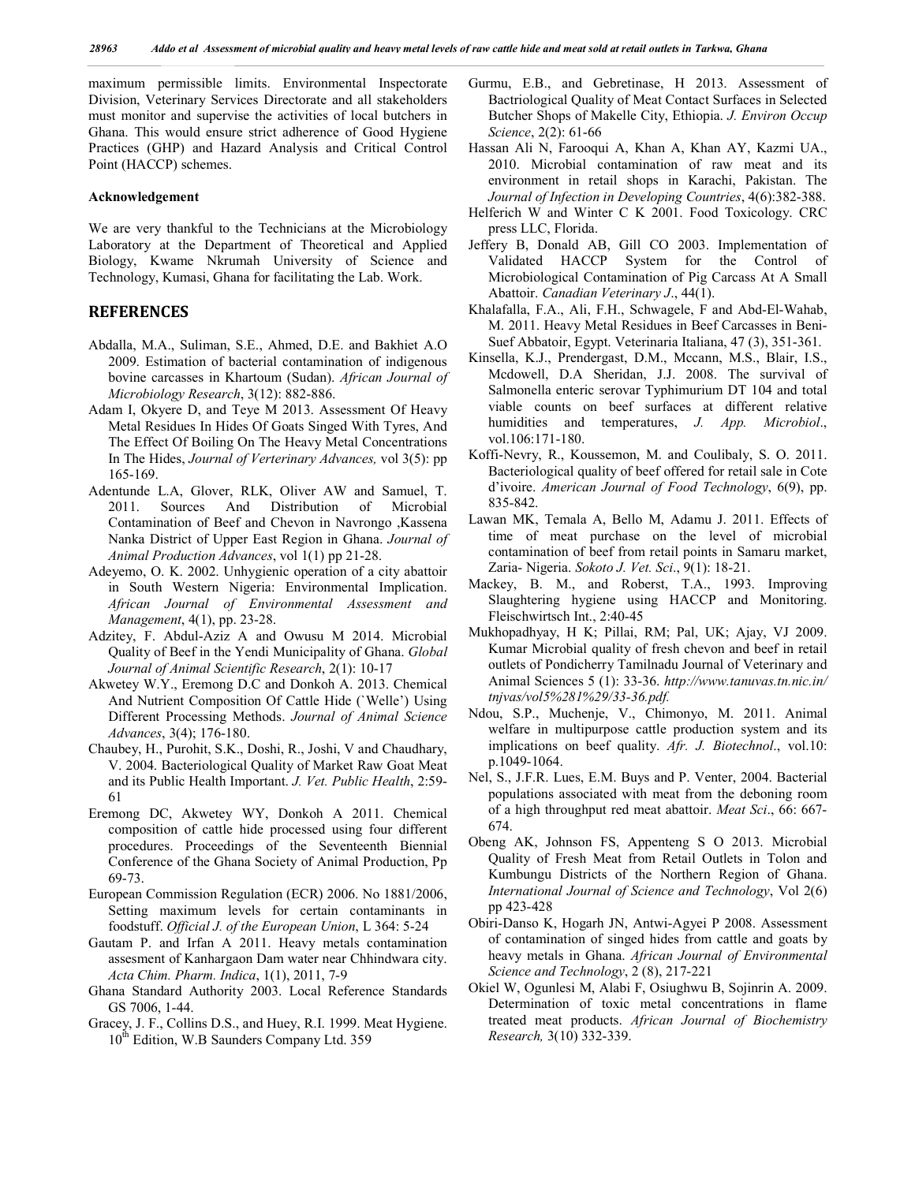maximum permissible limits. Environmental Inspectorate Division, Veterinary Services Directorate and all stakeholders must monitor and supervise the activities of local butchers in Ghana. This would ensure strict adherence of Good Hygiene Practices (GHP) and Hazard Analysis and Critical Control Point (HACCP) schemes.

#### **Acknowledgement**

We are very thankful to the Technicians at the Microbiology Laboratory at the Department of Theoretical and Applied Biology, Kwame Nkrumah University of Science and Technology, Kumasi, Ghana for facilitating the Lab. Work.

# **REFERENCES**

- Abdalla, M.A., Suliman, S.E., Ahmed, D.E. and Bakhiet A.O 2009. Estimation of bacterial contamination of indigenous bovine carcasses in Khartoum (Sudan). *African Journal of Microbiology Research*, 3(12): 882-886.
- Adam I, Okyere D, and Teye M 2013. Assessment Of Heavy Metal Residues In Hides Of Goats Singed With Tyres, And The Effect Of Boiling On The Heavy Metal Concentrations In The Hides, *Journal of Verterinary Advances,* vol 3(5): pp 165-169.
- Adentunde L.A, Glover, RLK, Oliver AW and Samuel, T. 2011. Sources And Distribution of Microbial Contamination of Beef and Chevon in Navrongo ,Kassena Nanka District of Upper East Region in Ghana. *Journal of Animal Production Advances*, vol 1(1) pp 21-28.
- Adeyemo, O. K. 2002. Unhygienic operation of a city abattoir in South Western Nigeria: Environmental Implication. *African Journal of Environmental Assessment and Management*, 4(1), pp. 23-28.
- Adzitey, F. Abdul-Aziz A and Owusu M 2014. Microbial Quality of Beef in the Yendi Municipality of Ghana. *Global Journal of Animal Scientific Research*, 2(1): 10-17
- Akwetey W.Y., Eremong D.C and Donkoh A. 2013. Chemical And Nutrient Composition Of Cattle Hide (`Welle') Using Different Processing Methods. *Journal of Animal Science Advances*, 3(4); 176-180.
- Chaubey, H., Purohit, S.K., Doshi, R., Joshi, V and Chaudhary, V. 2004. Bacteriological Quality of Market Raw Goat Meat and its Public Health Important. *J. Vet. Public Health*, 2:59- 61
- Eremong DC, Akwetey WY, Donkoh A 2011. Chemical composition of cattle hide processed using four different procedures. Proceedings of the Seventeenth Biennial Conference of the Ghana Society of Animal Production, Pp 69-73.
- European Commission Regulation (ECR) 2006. No 1881/2006, Setting maximum levels for certain contaminants in foodstuff. *Official J. of the European Union*, L 364: 5-24
- Gautam P. and Irfan A 2011. Heavy metals contamination assesment of Kanhargaon Dam water near Chhindwara city. *Acta Chim. Pharm. Indica*, 1(1), 2011, 7-9
- Ghana Standard Authority 2003. Local Reference Standards GS 7006, 1-44.
- Gracey, J. F., Collins D.S., and Huey, R.I. 1999. Meat Hygiene. 10<sup>th</sup> Edition, W.B Saunders Company Ltd. 359
- Gurmu, E.B., and Gebretinase, H 2013. Assessment of Bactriological Quality of Meat Contact Surfaces in Selected Butcher Shops of Makelle City, Ethiopia. *J. Environ Occup Science*, 2(2): 61-66
- Hassan Ali N, Farooqui A, Khan A, Khan AY, Kazmi UA., 2010. Microbial contamination of raw meat and its environment in retail shops in Karachi, Pakistan. The *Journal of Infection in Developing Countries*, 4(6):382-388.
- Helferich W and Winter C K 2001. Food Toxicology. CRC press LLC, Florida.
- Jeffery B, Donald AB, Gill CO 2003. Implementation of Validated HACCP System for the Control of Microbiological Contamination of Pig Carcass At A Small Abattoir. *Canadian Veterinary J*., 44(1).
- Khalafalla, F.A., Ali, F.H., Schwagele, F and Abd-El-Wahab, M. 2011. Heavy Metal Residues in Beef Carcasses in Beni-Suef Abbatoir, Egypt. Veterinaria Italiana, 47 (3), 351-361.
- Kinsella, K.J., Prendergast, D.M., Mccann, M.S., Blair, I.S., Mcdowell, D.A Sheridan, J.J. 2008. The survival of Salmonella enteric serovar Typhimurium DT 104 and total viable counts on beef surfaces at different relative humidities and temperatures, *J. App. Microbiol*., vol.106:171-180.
- Koffi-Nevry, R., Koussemon, M. and Coulibaly, S. O. 2011. Bacteriological quality of beef offered for retail sale in Cote d'ivoire. *American Journal of Food Technology*, 6(9), pp. 835-842.
- Lawan MK, Temala A, Bello M, Adamu J. 2011. Effects of time of meat purchase on the level of microbial contamination of beef from retail points in Samaru market, Zaria- Nigeria. *Sokoto J. Vet. Sci*., 9(1): 18-21.
- Mackey, B. M., and Roberst, T.A., 1993. Improving Slaughtering hygiene using HACCP and Monitoring. Fleischwirtsch Int., 2:40-45
- Mukhopadhyay, H K; Pillai, RM; Pal, UK; Ajay, VJ 2009. Kumar Microbial quality of fresh chevon and beef in retail outlets of Pondicherry Tamilnadu Journal of Veterinary and Animal Sciences 5 (1): 33-36. *http://www.tanuvas.tn.nic.in/ tnjvas/vol5%281%29/33-36.pdf.*
- Ndou, S.P., Muchenje, V., Chimonyo, M. 2011. Animal welfare in multipurpose cattle production system and its implications on beef quality. *Afr. J. Biotechnol*., vol.10: p.1049-1064.
- Nel, S., J.F.R. Lues, E.M. Buys and P. Venter, 2004. Bacterial populations associated with meat from the deboning room of a high throughput red meat abattoir. *Meat Sci*., 66: 667- 674.
- Obeng AK, Johnson FS, Appenteng S O 2013. Microbial Quality of Fresh Meat from Retail Outlets in Tolon and Kumbungu Districts of the Northern Region of Ghana. *International Journal of Science and Technology*, Vol 2(6) pp 423-428
- Obiri-Danso K, Hogarh JN, Antwi-Agyei P 2008. Assessment of contamination of singed hides from cattle and goats by heavy metals in Ghana. *African Journal of Environmental Science and Technology*, 2 (8), 217-221
- Okiel W, Ogunlesi M, Alabi F, Osiughwu B, Sojinrin A. 2009. Determination of toxic metal concentrations in flame treated meat products. *African Journal of Biochemistry Research,* 3(10) 332-339.